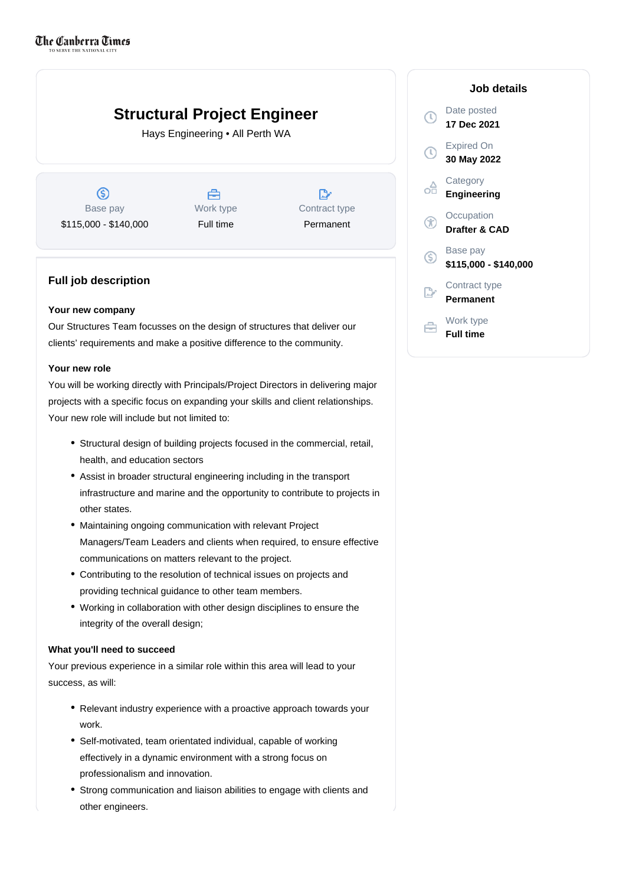# **Structural Project Engineer**

Hays Engineering • All Perth WA

 $\circledS$ Base pay \$115,000 - \$140,000



 $\mathbb{D}$ Contract type Permanent

## **Full job description**

### **Your new company**

Our Structures Team focusses on the design of structures that deliver our clients' requirements and make a positive difference to the community.

### **Your new role**

You will be working directly with Principals/Project Directors in delivering major projects with a specific focus on expanding your skills and client relationships. Your new role will include but not limited to:

- Structural design of building projects focused in the commercial, retail, health, and education sectors
- Assist in broader structural engineering including in the transport infrastructure and marine and the opportunity to contribute to projects in other states.
- Maintaining ongoing communication with relevant Project Managers/Team Leaders and clients when required, to ensure effective communications on matters relevant to the project.
- Contributing to the resolution of technical issues on projects and providing technical guidance to other team members.
- Working in collaboration with other design disciplines to ensure the integrity of the overall design;

#### **What you'll need to succeed**

Your previous experience in a similar role within this area will lead to your success, as will:

- Relevant industry experience with a proactive approach towards your work.
- Self-motivated, team orientated individual, capable of working effectively in a dynamic environment with a strong focus on professionalism and innovation.
- Strong communication and liaison abilities to engage with clients and other engineers.